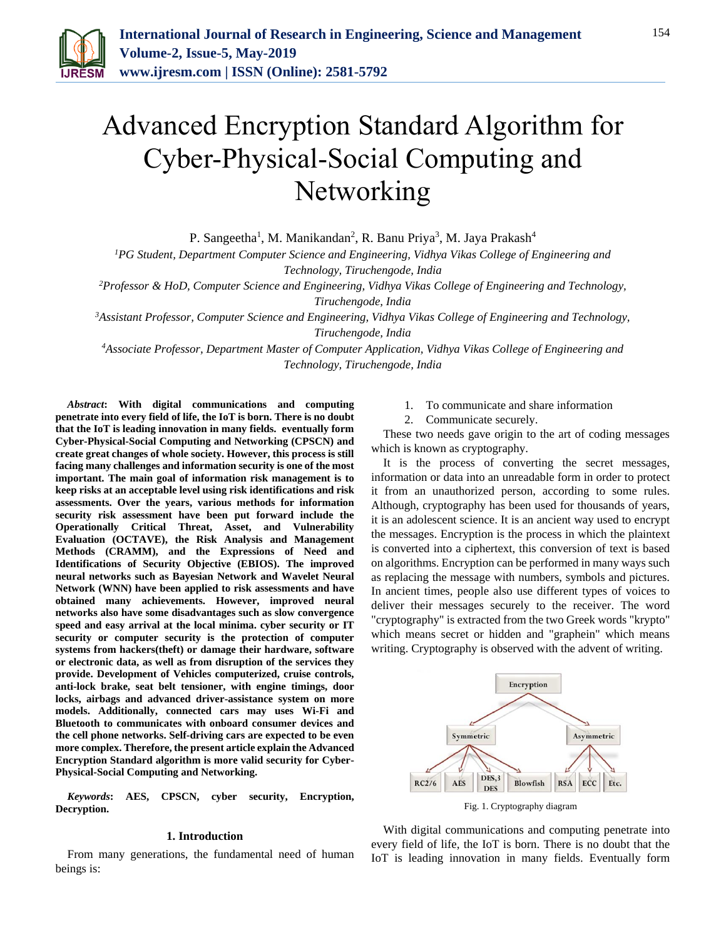

# Advanced Encryption Standard Algorithm for Cyber-Physical-Social Computing and Networking

P. Sangeetha<sup>1</sup>, M. Manikandan<sup>2</sup>, R. Banu Priya<sup>3</sup>, M. Jaya Prakash<sup>4</sup>

*<sup>1</sup>PG Student, Department Computer Science and Engineering, Vidhya Vikas College of Engineering and Technology, Tiruchengode, India*

*<sup>2</sup>Professor & HoD, Computer Science and Engineering, Vidhya Vikas College of Engineering and Technology,* 

*Tiruchengode, India*

*<sup>3</sup>Assistant Professor, Computer Science and Engineering, Vidhya Vikas College of Engineering and Technology, Tiruchengode, India*

*<sup>4</sup>Associate Professor, Department Master of Computer Application, Vidhya Vikas College of Engineering and Technology, Tiruchengode, India*

*Abstract***: With digital communications and computing penetrate into every field of life, the IoT is born. There is no doubt that the IoT is leading innovation in many fields. eventually form Cyber-Physical-Social Computing and Networking (CPSCN) and create great changes of whole society. However, this process is still facing many challenges and information security is one of the most important. The main goal of information risk management is to keep risks at an acceptable level using risk identifications and risk assessments. Over the years, various methods for information security risk assessment have been put forward include the Operationally Critical Threat, Asset, and Vulnerability Evaluation (OCTAVE), the Risk Analysis and Management Methods (CRAMM), and the Expressions of Need and Identifications of Security Objective (EBIOS). The improved neural networks such as Bayesian Network and Wavelet Neural Network (WNN) have been applied to risk assessments and have obtained many achievements. However, improved neural networks also have some disadvantages such as slow convergence speed and easy arrival at the local minima. cyber security or IT security or computer security is the protection of computer systems from hackers(theft) or damage their hardware, software or electronic data, as well as from disruption of the services they provide. Development of Vehicles computerized, cruise controls, anti-lock brake, seat belt tensioner, with engine timings, door locks, airbags and advanced driver-assistance system on more models. Additionally, connected cars may uses Wi-Fi and Bluetooth to communicates with onboard consumer devices and the cell phone networks. Self-driving cars are expected to be even more complex. Therefore, the present article explain the Advanced Encryption Standard algorithm is more valid security for Cyber-Physical-Social Computing and Networking.**

*Keywords***: AES, CPSCN, cyber security, Encryption, Decryption.** 

#### **1. Introduction**

From many generations, the fundamental need of human beings is:

- 1. To communicate and share information
- 2. Communicate securely.

These two needs gave origin to the art of coding messages which is known as cryptography.

It is the process of converting the secret messages, information or data into an unreadable form in order to protect it from an unauthorized person, according to some rules. Although, cryptography has been used for thousands of years, it is an adolescent science. It is an ancient way used to encrypt the messages. Encryption is the process in which the plaintext is converted into a ciphertext, this conversion of text is based on algorithms. Encryption can be performed in many ways such as replacing the message with numbers, symbols and pictures. In ancient times, people also use different types of voices to deliver their messages securely to the receiver. The word "cryptography" is extracted from the two Greek words "krypto" which means secret or hidden and "graphein" which means writing. Cryptography is observed with the advent of writing.



Fig. 1. Cryptography diagram

With digital communications and computing penetrate into every field of life, the IoT is born. There is no doubt that the IoT is leading innovation in many fields. Eventually form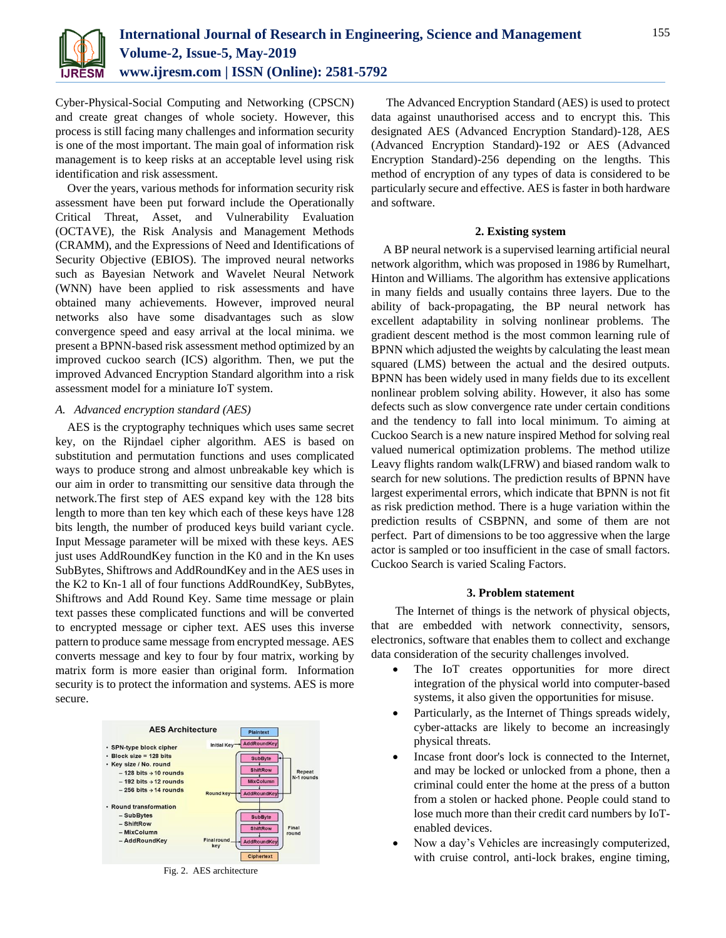

Cyber-Physical-Social Computing and Networking (CPSCN) and create great changes of whole society. However, this process is still facing many challenges and information security is one of the most important. The main goal of information risk management is to keep risks at an acceptable level using risk identification and risk assessment.

Over the years, various methods for information security risk assessment have been put forward include the Operationally Critical Threat, Asset, and Vulnerability Evaluation (OCTAVE), the Risk Analysis and Management Methods (CRAMM), and the Expressions of Need and Identifications of Security Objective (EBIOS). The improved neural networks such as Bayesian Network and Wavelet Neural Network (WNN) have been applied to risk assessments and have obtained many achievements. However, improved neural networks also have some disadvantages such as slow convergence speed and easy arrival at the local minima. we present a BPNN-based risk assessment method optimized by an improved cuckoo search (ICS) algorithm. Then, we put the improved Advanced Encryption Standard algorithm into a risk assessment model for a miniature IoT system.

# *A. Advanced encryption standard (AES)*

AES is the cryptography techniques which uses same secret key, on the Rijndael cipher algorithm. AES is based on substitution and permutation functions and uses complicated ways to produce strong and almost unbreakable key which is our aim in order to transmitting our sensitive data through the network.The first step of AES expand key with the 128 bits length to more than ten key which each of these keys have 128 bits length, the number of produced keys build variant cycle. Input Message parameter will be mixed with these keys. AES just uses AddRoundKey function in the K0 and in the Kn uses SubBytes, Shiftrows and AddRoundKey and in the AES uses in the K2 to Kn-1 all of four functions AddRoundKey, SubBytes, Shiftrows and Add Round Key. Same time message or plain text passes these complicated functions and will be converted to encrypted message or cipher text. AES uses this inverse pattern to produce same message from encrypted message. AES converts message and key to four by four matrix, working by matrix form is more easier than original form. Information security is to protect the information and systems. AES is more secure.



Fig. 2. AES architecture

The Advanced Encryption Standard (AES) is used to protect data against unauthorised access and to encrypt this. This designated AES (Advanced Encryption Standard)-128, AES (Advanced Encryption Standard)-192 or AES (Advanced Encryption Standard)-256 depending on the lengths. This method of encryption of any types of data is considered to be particularly secure and effective. AES is faster in both hardware and software.

# **2. Existing system**

A BP neural network is a supervised learning artificial neural network algorithm, which was proposed in 1986 by Rumelhart, Hinton and Williams. The algorithm has extensive applications in many fields and usually contains three layers. Due to the ability of back-propagating, the BP neural network has excellent adaptability in solving nonlinear problems. The gradient descent method is the most common learning rule of BPNN which adjusted the weights by calculating the least mean squared (LMS) between the actual and the desired outputs. BPNN has been widely used in many fields due to its excellent nonlinear problem solving ability. However, it also has some defects such as slow convergence rate under certain conditions and the tendency to fall into local minimum. To aiming at Cuckoo Search is a new nature inspired Method for solving real valued numerical optimization problems. The method utilize Leavy flights random walk(LFRW) and biased random walk to search for new solutions. The prediction results of BPNN have largest experimental errors, which indicate that BPNN is not fit as risk prediction method. There is a huge variation within the prediction results of CSBPNN, and some of them are not perfect. Part of dimensions to be too aggressive when the large actor is sampled or too insufficient in the case of small factors. Cuckoo Search is varied Scaling Factors.

#### **3. Problem statement**

The Internet of things is the network of physical objects, that are embedded with network connectivity, sensors, electronics, software that enables them to collect and exchange data consideration of the security challenges involved.

- The IoT creates opportunities for more direct integration of the physical world into computer-based systems, it also given the opportunities for misuse.
- Particularly, as the Internet of Things spreads widely, cyber-attacks are likely to become an increasingly physical threats.
- Incase front door's lock is connected to the Internet, and may be locked or unlocked from a phone, then a criminal could enter the home at the press of a button from a stolen or hacked phone. People could stand to lose much more than their credit card numbers by IoTenabled devices.
- Now a day's Vehicles are increasingly computerized, with cruise control, anti-lock brakes, engine timing,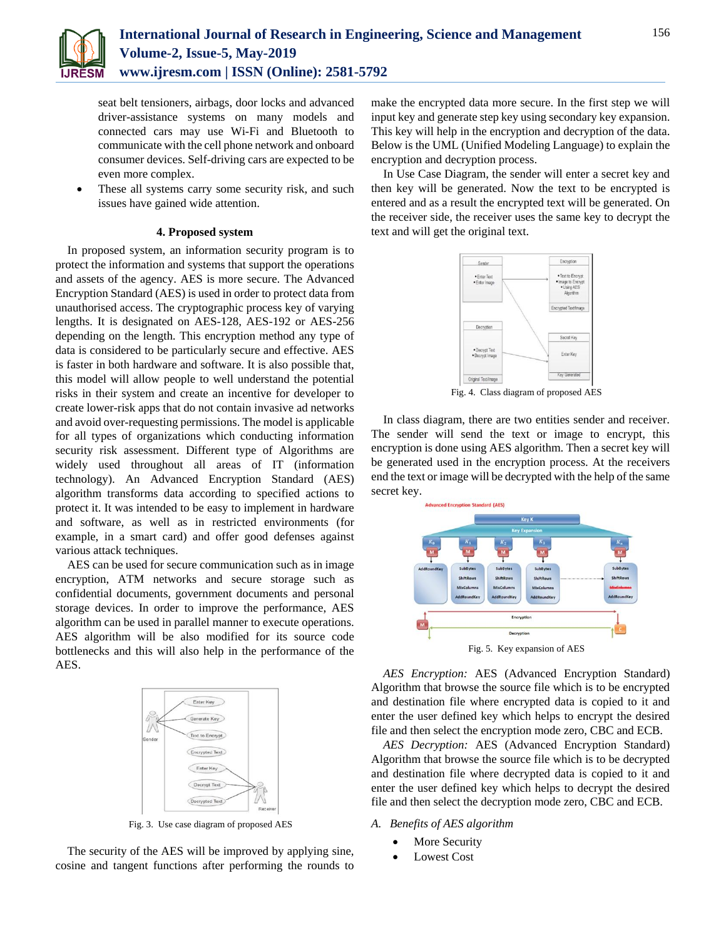

seat belt tensioners, airbags, door locks and advanced driver-assistance systems on many models and connected cars may use Wi-Fi and Bluetooth to communicate with the cell phone network and onboard consumer devices. Self-driving cars are expected to be even more complex.

 These all systems carry some security risk, and such issues have gained wide attention.

## **4. Proposed system**

In proposed system, an information security program is to protect the information and systems that support the operations and assets of the agency. AES is more secure. The Advanced Encryption Standard (AES) is used in order to protect data from unauthorised access. The cryptographic process key of varying lengths. It is designated on AES-128, AES-192 or AES-256 depending on the length. This encryption method any type of data is considered to be particularly secure and effective. AES is faster in both hardware and software. It is also possible that, this model will allow people to well understand the potential risks in their system and create an incentive for developer to create lower-risk apps that do not contain invasive ad networks and avoid over-requesting permissions. The model is applicable for all types of organizations which conducting information security risk assessment. Different type of Algorithms are widely used throughout all areas of IT (information technology). An Advanced Encryption Standard (AES) algorithm transforms data according to specified actions to protect it. It was intended to be easy to implement in hardware and software, as well as in restricted environments (for example, in a smart card) and offer good defenses against various attack techniques.

AES can be used for secure communication such as in image encryption, ATM networks and secure storage such as confidential documents, government documents and personal storage devices. In order to improve the performance, AES algorithm can be used in parallel manner to execute operations. AES algorithm will be also modified for its source code bottlenecks and this will also help in the performance of the AES.



Fig. 3. Use case diagram of proposed AES

The security of the AES will be improved by applying sine, cosine and tangent functions after performing the rounds to make the encrypted data more secure. In the first step we will input key and generate step key using secondary key expansion. This key will help in the encryption and decryption of the data. Below is the UML (Unified Modeling Language) to explain the encryption and decryption process.

In Use Case Diagram, the sender will enter a secret key and then key will be generated. Now the text to be encrypted is entered and as a result the encrypted text will be generated. On the receiver side, the receiver uses the same key to decrypt the text and will get the original text.



Fig. 4. Class diagram of proposed AES

In class diagram, there are two entities sender and receiver. The sender will send the text or image to encrypt, this encryption is done using AES algorithm. Then a secret key will be generated used in the encryption process. At the receivers end the text or image will be decrypted with the help of the same secret key.



Fig. 5. Key expansion of AES

*AES Encryption:* AES (Advanced Encryption Standard) Algorithm that browse the source file which is to be encrypted and destination file where encrypted data is copied to it and enter the user defined key which helps to encrypt the desired file and then select the encryption mode zero, CBC and ECB.

*AES Decryption:* AES (Advanced Encryption Standard) Algorithm that browse the source file which is to be decrypted and destination file where decrypted data is copied to it and enter the user defined key which helps to decrypt the desired file and then select the decryption mode zero, CBC and ECB.

- *A. Benefits of AES algorithm*
	- More Security
	- Lowest Cost